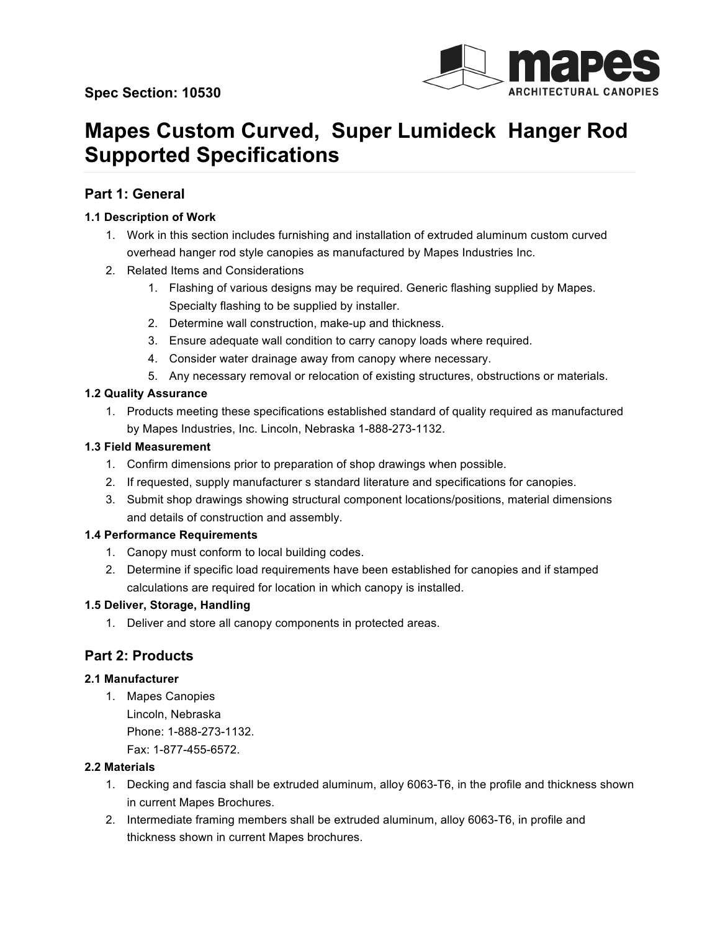

# **Mapes Custom Curved, Super Lumideck Hanger Rod Supported Specifications**

# **Part 1: General**

# **1.1 Description of Work**

- 1. Work in this section includes furnishing and installation of extruded aluminum custom curved overhead hanger rod style canopies as manufactured by Mapes Industries Inc.
- 2. Related Items and Considerations
	- 1. Flashing of various designs may be required. Generic flashing supplied by Mapes. Specialty flashing to be supplied by installer.
	- 2. Determine wall construction, make-up and thickness.
	- 3. Ensure adequate wall condition to carry canopy loads where required.
	- 4. Consider water drainage away from canopy where necessary.
	- 5. Any necessary removal or relocation of existing structures, obstructions or materials.

## **1.2 Quality Assurance**

1. Products meeting these specifications established standard of quality required as manufactured by Mapes Industries, Inc. Lincoln, Nebraska 1-888-273-1132.

## **1.3 Field Measurement**

- 1. Confirm dimensions prior to preparation of shop drawings when possible.
- 2. If requested, supply manufacturer s standard literature and specifications for canopies.
- 3. Submit shop drawings showing structural component locations/positions, material dimensions and details of construction and assembly.

#### **1.4 Performance Requirements**

- 1. Canopy must conform to local building codes.
- 2. Determine if specific load requirements have been established for canopies and if stamped calculations are required for location in which canopy is installed.

#### **1.5 Deliver, Storage, Handling**

1. Deliver and store all canopy components in protected areas.

# **Part 2: Products**

#### **2.1 Manufacturer**

1. Mapes Canopies Lincoln, Nebraska Phone: 1-888-273-1132. Fax: 1-877-455-6572.

#### **2.2 Materials**

- 1. Decking and fascia shall be extruded aluminum, alloy 6063-T6, in the profile and thickness shown in current Mapes Brochures.
- 2. Intermediate framing members shall be extruded aluminum, alloy 6063-T6, in profile and thickness shown in current Mapes brochures.